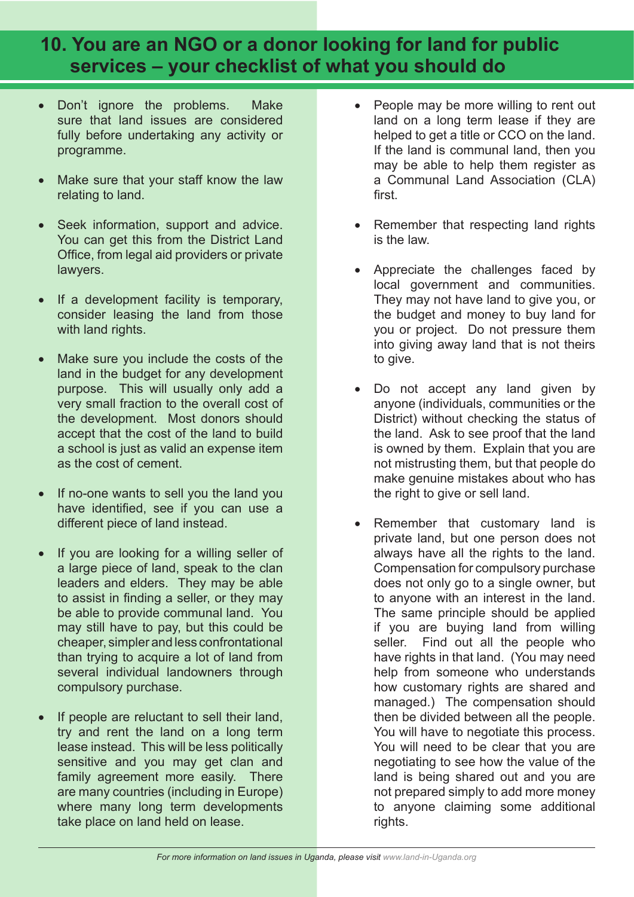## **10. You are an NGO or a donor looking for land for public services – your checklist of what you should do**

- Don't ignore the problems. Make sure that land issues are considered fully before undertaking any activity or programme.
- Make sure that your staff know the law relating to land.
- Seek information, support and advice. You can get this from the District Land Office, from legal aid providers or private lawyers.
- If a development facility is temporary, consider leasing the land from those with land rights.
- Make sure you include the costs of the land in the budget for any development purpose. This will usually only add a very small fraction to the overall cost of the development. Most donors should accept that the cost of the land to build a school is just as valid an expense item as the cost of cement.
- If no-one wants to sell you the land you have identified, see if you can use a different piece of land instead.
- If you are looking for a willing seller of a large piece of land, speak to the clan leaders and elders. They may be able to assist in finding a seller, or they may be able to provide communal land. You may still have to pay, but this could be cheaper, simpler and less confrontational than trying to acquire a lot of land from several individual landowners through compulsory purchase.
- If people are reluctant to sell their land, try and rent the land on a long term lease instead. This will be less politically sensitive and you may get clan and family agreement more easily. There are many countries (including in Europe) where many long term developments take place on land held on lease.
- People may be more willing to rent out land on a long term lease if they are helped to get a title or CCO on the land. If the land is communal land, then you may be able to help them register as a Communal Land Association (CLA) first.
- Remember that respecting land rights is the law.
- Appreciate the challenges faced by local government and communities. They may not have land to give you, or the budget and money to buy land for you or project. Do not pressure them into giving away land that is not theirs to give.
- Do not accept any land given by anyone (individuals, communities or the District) without checking the status of the land. Ask to see proof that the land is owned by them. Explain that you are not mistrusting them, but that people do make genuine mistakes about who has the right to give or sell land.
- Remember that customary land is private land, but one person does not always have all the rights to the land. Compensation for compulsory purchase does not only go to a single owner, but to anyone with an interest in the land. The same principle should be applied if you are buying land from willing seller. Find out all the people who have rights in that land. (You may need help from someone who understands how customary rights are shared and managed.) The compensation should then be divided between all the people. You will have to negotiate this process. You will need to be clear that you are negotiating to see how the value of the land is being shared out and you are not prepared simply to add more money to anyone claiming some additional rights.